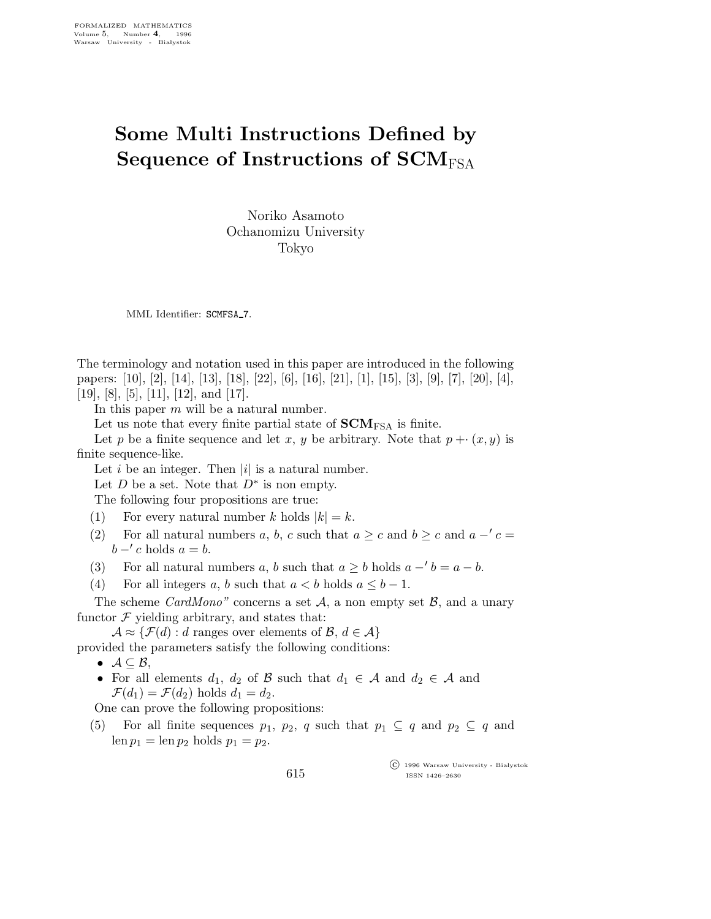## Some Multi Instructions Defined by Sequence of Instructions of  $SCM<sub>FSA</sub>$

Noriko Asamoto Ochanomizu University Tokyo

MML Identifier: SCMFSA\_7.

The terminology and notation used in this paper are introduced in the following papers: [10], [2], [14], [13], [18], [22], [6], [16], [21], [1], [15], [3], [9], [7], [20], [4], [19], [8], [5], [11], [12], and [17].

In this paper  $m$  will be a natural number.

Let us note that every finite partial state of  $\text{SCM}_{\text{FSA}}$  is finite.

Let p be a finite sequence and let x, y be arbitrary. Note that  $p + \cdot (x, y)$  is finite sequence-like.

Let i be an integer. Then  $|i|$  is a natural number.

Let D be a set. Note that  $D^*$  is non empty.

The following four propositions are true:

- (1) For every natural number k holds  $|k| = k$ .
- (2) For all natural numbers a, b, c such that  $a \geq c$  and  $b \geq c$  and  $a c =$  $b - c$  holds  $a = b$ .
- (3) For all natural numbers a, b such that  $a \geq b$  holds  $a b = a b$ .
- (4) For all integers a, b such that  $a < b$  holds  $a \leq b 1$ .

The scheme *CardMono*" concerns a set  $A$ , a non empty set  $B$ , and a unary functor  $\mathcal F$  yielding arbitrary, and states that:

 $\mathcal{A} \approx {\{\mathcal{F}(d): d \text{ ranges over elements of } \mathcal{B}, d \in \mathcal{A}\}}$ provided the parameters satisfy the following conditions:

- $\bullet$   $\mathcal{A} \subseteq \mathcal{B}$ ,
- For all elements  $d_1$ ,  $d_2$  of  $\beta$  such that  $d_1 \in \mathcal{A}$  and  $d_2 \in \mathcal{A}$  and  $\mathcal{F}(d_1) = \mathcal{F}(d_2)$  holds  $d_1 = d_2$ .

One can prove the following propositions:

(5) For all finite sequences  $p_1$ ,  $p_2$ , q such that  $p_1 \subseteq q$  and  $p_2 \subseteq q$  and  $len p_1 = len p_2 holds p_1 = p_2.$ 

> $\overline{\text{C}}$  1996 Warsaw University - Białystok ISSN 1426–2630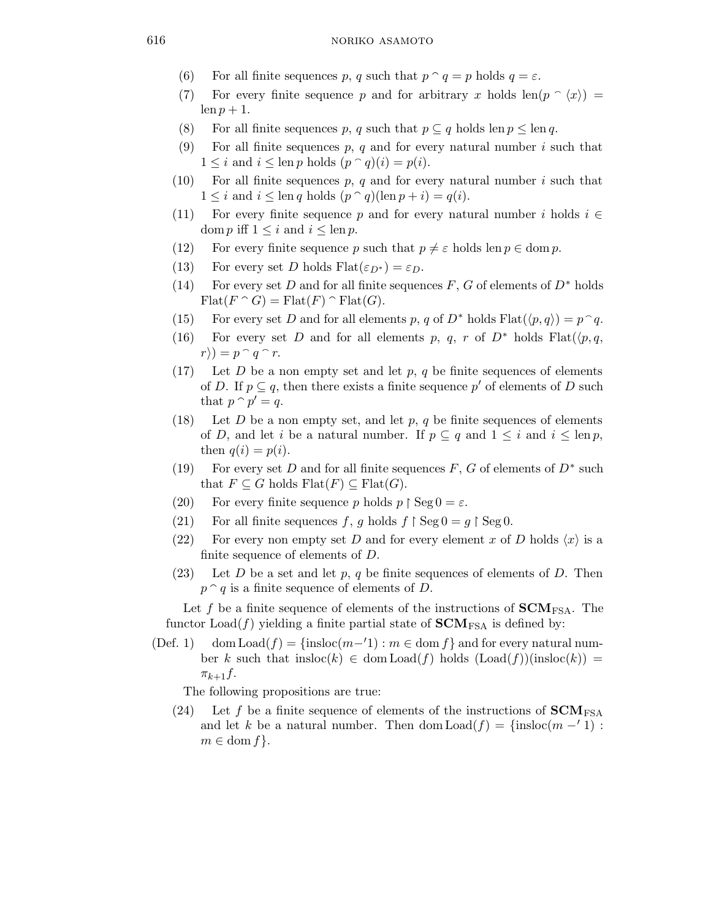- (6) For all finite sequences p, q such that  $p \cap q = p$  holds  $q = \varepsilon$ .
- (7) For every finite sequence p and for arbitrary x holds  $\text{len}(p \cap \langle x \rangle) =$ len  $p + 1$ .
- (8) For all finite sequences p, q such that  $p \subseteq q$  holds len  $p \leq \text{len } q$ .
- (9) For all finite sequences  $p, q$  and for every natural number i such that  $1 \leq i$  and  $i \leq \text{len } p \text{ holds } (p \cap q)(i) = p(i).$
- (10) For all finite sequences p, q and for every natural number i such that  $1 \leq i$  and  $i \leq \text{len } q$  holds  $(p \cap q)(\text{len } p + i) = q(i)$ .
- (11) For every finite sequence p and for every natural number i holds  $i \in$ dom p iff  $1 \leq i$  and  $i \leq \ln p$ .
- (12) For every finite sequence p such that  $p \neq \varepsilon$  holds len  $p \in \text{dom } p$ .
- (13) For every set D holds  $F$ lat $(\varepsilon_{D^*}) = \varepsilon_D$ .
- (14) For every set D and for all finite sequences  $F, G$  of elements of  $D^*$  holds  $\text{Flat}(F \cap G) = \text{Flat}(F) \cap \text{Flat}(G).$
- (15) For every set D and for all elements p, q of  $D^*$  holds  $F$ lat $(\langle p, q \rangle) = p^{\frown} q$ .
- (16) For every set D and for all elements p, q, r of  $D^*$  holds  $Flat(\langle p, q, q \rangle)$  $r\rangle) = p \cap q \cap r.$
- (17) Let D be a non empty set and let p, q be finite sequences of elements of D. If  $p \subseteq q$ , then there exists a finite sequence p' of elements of D such that  $p \cap p' = q$ .
- (18) Let D be a non empty set, and let p, q be finite sequences of elements of D, and let i be a natural number. If  $p \subseteq q$  and  $1 \leq i$  and  $i \leq \text{len } p$ , then  $q(i) = p(i)$ .
- (19) For every set D and for all finite sequences  $F, G$  of elements of  $D^*$  such that  $F \subseteq G$  holds  $\text{Flat}(F) \subseteq \text{Flat}(G)$ .
- (20) For every finite sequence p holds  $p \restriction \text{Seg } 0 = \varepsilon$ .
- (21) For all finite sequences f, g holds  $f \restriction \text{Seg\,0} = g \restriction \text{Seg\,0}$ .
- (22) For every non empty set D and for every element x of D holds  $\langle x \rangle$  is a finite sequence of elements of D.
- (23) Let D be a set and let p, q be finite sequences of elements of D. Then  $p \nightharpoonup q$  is a finite sequence of elements of D.

Let f be a finite sequence of elements of the instructions of  $SCM<sub>FSA</sub>$ . The functor  $Load(f)$  yielding a finite partial state of  $SCM<sub>FSA</sub>$  is defined by:

(Def. 1) dom Load(f) = {insloc(m-'1) :  $m \in$  dom f} and for every natural number k such that  $\text{insloc}(k) \in \text{dom } \text{Load}(f)$  holds  $(\text{Load}(f))(\text{insloc}(k)) =$  $\pi_{k+1}f$ .

The following propositions are true:

(24) Let f be a finite sequence of elements of the instructions of  $$ and let k be a natural number. Then dom  $\text{Load}(f) = \{\text{insloc}(m - 1) :$  $m \in \text{dom } f$ .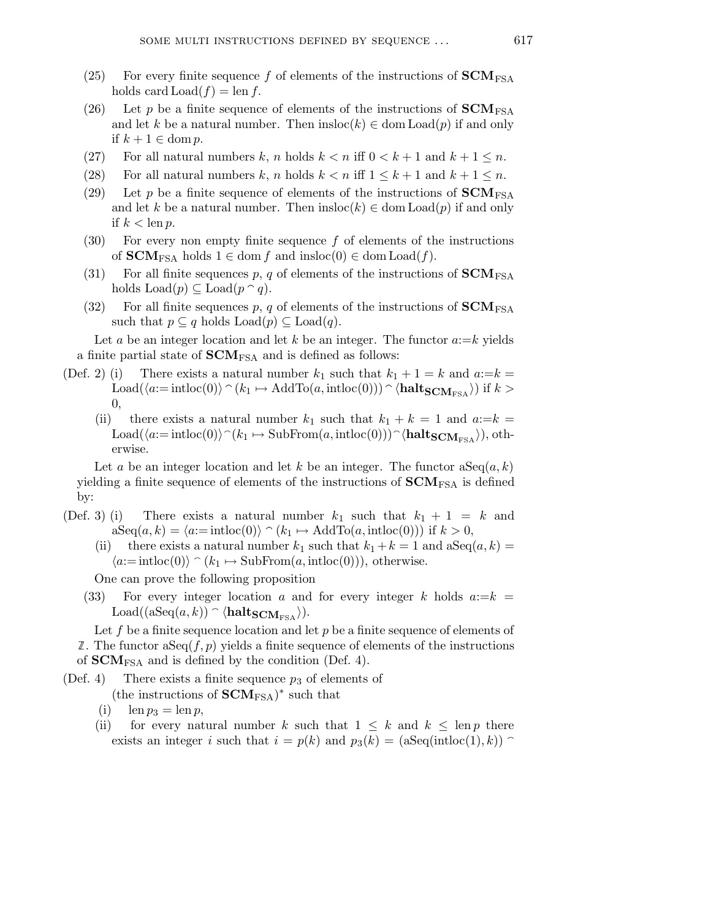- (25) For every finite sequence f of elements of the instructions of  $SCM<sub>FSA</sub>$ holds card  $\text{Load}(f) = \text{len } f$ .
- (26) Let p be a finite sequence of elements of the instructions of  $SCM<sub>FSA</sub>$ and let k be a natural number. Then  $\text{insloc}(k) \in \text{dom } \text{Load}(p)$  if and only if  $k + 1 \in \text{dom } p$ .
- (27) For all natural numbers k, n holds  $k < n$  iff  $0 < k + 1$  and  $k + 1 \leq n$ .
- (28) For all natural numbers k, n holds  $k < n$  iff  $1 \leq k+1$  and  $k+1 \leq n$ .
- (29) Let p be a finite sequence of elements of the instructions of  $SCM<sub>FSA</sub>$ and let k be a natural number. Then  $\text{insloc}(k) \in \text{dom } \text{Load}(p)$  if and only if  $k < \text{len } p$ .
- (30) For every non empty finite sequence  $f$  of elements of the instructions of  **holds**  $1 \in \text{dom } f$  **and**  $insloc(0) \in \text{dom } Load(f)$ **.**
- (31) For all finite sequences p, q of elements of the instructions of  $SCM<sub>FSA</sub>$ holds  $\text{Load}(p) \subseteq \text{Load}(p \cap q)$ .
- (32) For all finite sequences p, q of elements of the instructions of  $$ such that  $p \subseteq q$  holds  $\text{Load}(p) \subseteq \text{Load}(q)$ .

Let a be an integer location and let k be an integer. The functor  $a:=k$  yields a finite partial state of  **and is defined as follows:** 

- (Def. 2) (i) There exists a natural number  $k_1$  such that  $k_1 + 1 = k$  and  $a:=k =$  $\text{Load}(\langle a:=\text{intloc}(0)\rangle \cap (k_1 \mapsto \text{AddTo}(a, \text{intloc}(0))) \cap \langle \text{halt}_{\text{SCM}_{\text{FSA}}}\rangle)$  if  $k >$ 0,
	- (ii) there exists a natural number  $k_1$  such that  $k_1 + k = 1$  and  $a:=k =$ Load( $\langle a:=\text{intloc}(0)\rangle^{\frown}(k_1 \mapsto \text{SubFrom}(a, \text{intloc}(0)))^{\frown}\langle \text{halt}_{\text{SCM}_{\text{FSA}}}\rangle)$ , otherwise.

Let a be an integer location and let k be an integer. The functor  $aSeq(a, k)$ yielding a finite sequence of elements of the instructions of  $\mathbf{SCM}_{\text{FSA}}$  is defined by:

- (Def. 3) (i) There exists a natural number  $k_1$  such that  $k_1 + 1 = k$  and  $aSeq(a, k) = \langle a:=intloc(0) \rangle \cap (k_1 \mapsto AddTo(a, intloc(0)))$  if  $k > 0$ ,
	- (ii) there exists a natural number  $k_1$  such that  $k_1 + k = 1$  and  $aSeq(a, k) =$  $\langle a:=\text{intloc}(0)\rangle \cap (k_1 \mapsto \text{SubFrom}(a, \text{intloc}(0))), \text{ otherwise.}$

One can prove the following proposition

(33) For every integer location a and for every integer k holds  $a:=k =$ Load( $(aSeq(a, k)) \cap \langle \mathbf{halt_{SCM_{FSA}}}\rangle$ ).

Let f be a finite sequence location and let  $p$  be a finite sequence of elements of  $\mathbb{Z}$ . The functor as Eq.  $(f, p)$  yields a finite sequence of elements of the instructions of  **and is defined by the condition (Def. 4).** 

(Def. 4) There exists a finite sequence  $p_3$  of elements of

(the instructions of  $\text{SCM}_{\text{FSA}}$ )<sup>\*</sup> such that

- (i)  $\operatorname{len} p_3 = \operatorname{len} p$ ,
- (ii) for every natural number k such that  $1 \leq k$  and  $k \leq \text{len } p$  there exists an integer i such that  $i = p(k)$  and  $p_3(k) = (\text{aSeq(intloc(1), k)})$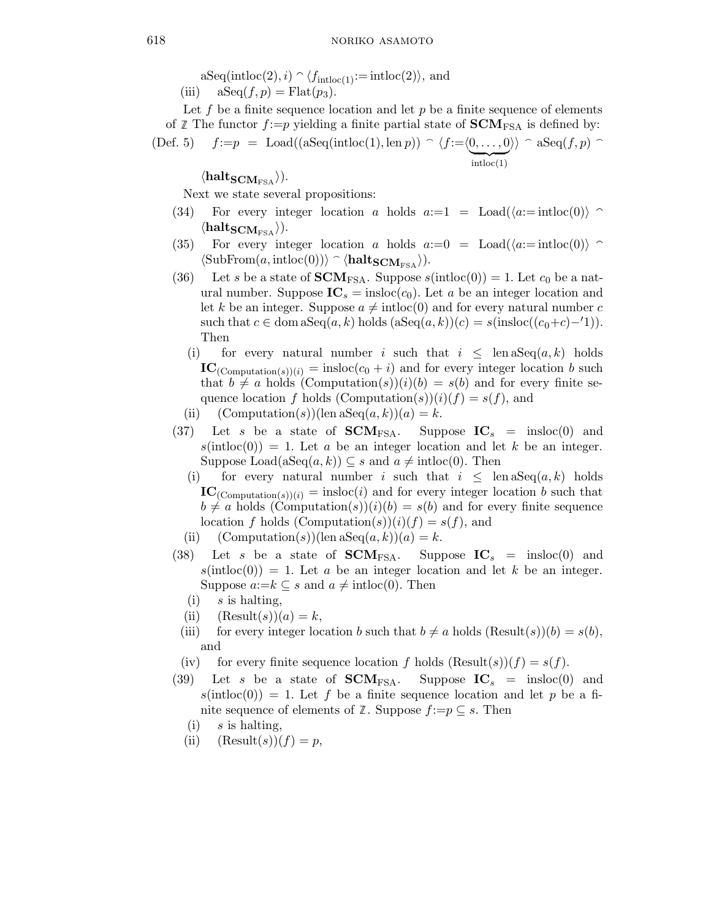$aSeq(intloc(2), i) \cap \langle f_{intloc(1)}:=intloc(2) \rangle$ , and

(iii)  $aSeq(f, p) = Flat(p_3).$ 

Let f be a finite sequence location and let  $p$  be a finite sequence of elements of *Z* The functor  $f:=p$  yielding a finite partial state of  $SCM_{FSA}$  is defined by:<br>(Def 5)  $f:=n = \text{Load}((aSeq(intloc(1) \text{ len } n)) \cap (f:-n) \cap (N) \cap sSeq(f,n) \cap$ 

(Def. 5) 
$$
f:=p = \text{Load}((\text{aSeq}(\text{intloc}(1), \text{len } p)) \cap \langle f:=\langle 0, \ldots, 0 \rangle \rangle \cap \text{aSeq}(f, p) \cap \text{intloc}(1)
$$

 $\langle \textbf{halt}_{\textbf{SCM}_{\text{FSA}}}\rangle).$ 

Next we state several propositions:

- (34) For every integer location a holds  $a:=1 = \text{Load}(\langle a:= \text{intloc}(0) \rangle$  $\langle \textbf{halt}_{\textbf{SCM}_{\text{FSA}}}\rangle$ ).
- (35) For every integer location a holds  $a:=0 = \text{Load}(\langle a:= \text{intloc}(0) \rangle$  $\langle \text{SubFrom}(a, \text{intloc}(0)) \rangle \cap \langle \text{halt}_{\text{SCM}_{\text{FSA}} \rangle$ .
- (36) Let s be a state of **. Suppose**  $s(intloc(0)) = 1$ **. Let**  $c_0$  **be a nat**ural number. Suppose  $IC_s = insloc(c_0)$ . Let a be an integer location and let k be an integer. Suppose  $a \neq \text{intloc}(0)$  and for every natural number c such that  $c \in \text{dom } \text{aSeq}(a, k)$  holds  $(\text{aSeq}(a, k))(c) = s(\text{inside}((c_0+c)-1)).$ Then
	- (i) for every natural number i such that  $i \leq \text{len aSeq}(a, k)$  holds  $IC_{(Computation(s))(i)} = insloc(c_0 + i)$  and for every integer location b such that  $b \neq a$  holds  $(Computation(s))(i)(b) = s(b)$  and for every finite sequence location f holds  $(Computation(s))(i)(f) = s(f)$ , and
	- (ii)  $(\text{Computation}(s))(\text{len aSeq}(a, k))(a) = k.$
- (37) Let s be a state of  $SCM_{FSA}$ . Suppose  $IC_s$  = insloc(0) and  $s(intloc(0)) = 1$ . Let a be an integer location and let k be an integer. Suppose Load(aSeq(a, k))  $\subseteq$  s and  $a \neq \text{intloc}(0)$ . Then
	- (i) for every natural number i such that  $i \leq \text{len aSeq}(a, k)$  holds  $$  $b \neq a$  holds  $(Computation(s))(i)(b) = s(b)$  and for every finite sequence location f holds  $(Computation(s))(i)(f) = s(f)$ , and
	- (ii)  $(\text{Computation}(s))(\text{len aSeq}(a, k))(a) = k.$
- (38) Let s be a state of **SCM**<sub>FSA</sub>. Suppose  $IC_s$  = insloc(0) and  $s(intloc(0)) = 1$ . Let a be an integer location and let k be an integer. Suppose  $a:=k\subseteq s$  and  $a\neq \text{intloc}(0)$ . Then
	- $(i)$  s is halting,
	- (ii)  $(Result(s))(a) = k,$
	- (iii) for every integer location b such that  $b \neq a$  holds  $(Result(s))(b) = s(b)$ , and
	- (iv) for every finite sequence location f holds  $(Result(s))(f) = s(f)$ .
- (39) Let s be a state of  $SCM_{FSA}$ . Suppose  $IC_s$  = insloc(0) and  $s(intloc(0)) = 1$ . Let f be a finite sequence location and let p be a finite sequence of elements of  $\mathbb Z$ . Suppose  $f:=p\subset s$ . Then
	- $(i)$  s is halting,
	- (ii)  $(Result(s))(f) = p$ ,